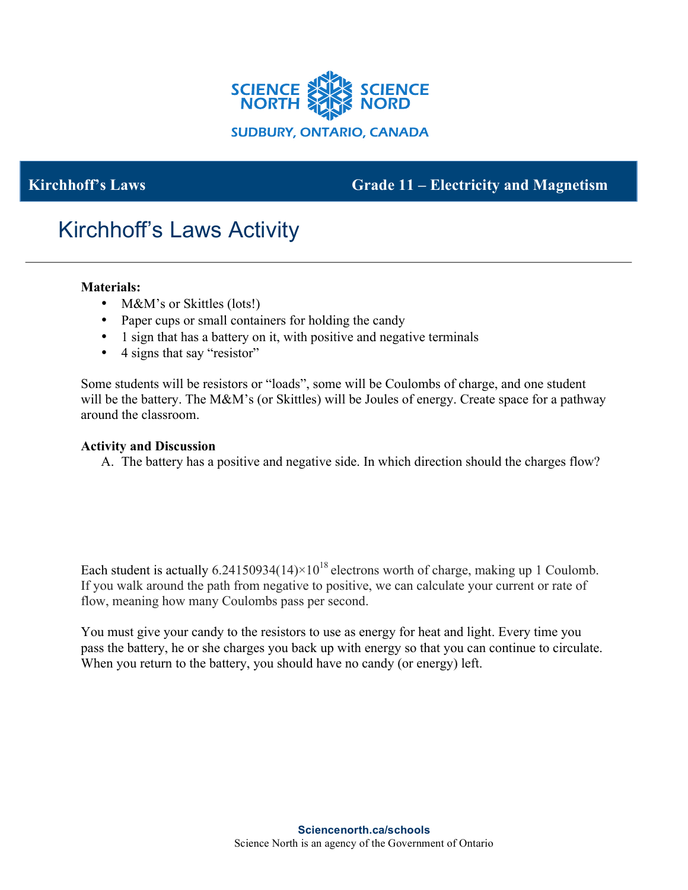

## **Kirchhoff's Laws** Grade 11 – **Electricity and Magnetism**

# Kirchhoff's Laws Activity

#### **Materials:**

- M&M's or Skittles (lots!)
- Paper cups or small containers for holding the candy
- 1 sign that has a battery on it, with positive and negative terminals
- 4 signs that say "resistor"

Some students will be resistors or "loads", some will be Coulombs of charge, and one student will be the battery. The M&M's (or Skittles) will be Joules of energy. Create space for a pathway around the classroom.

#### **Activity and Discussion**

A. The battery has a positive and negative side. In which direction should the charges flow?

Each student is actually  $6.24150934(14)\times10^{18}$  electrons worth of charge, making up 1 Coulomb. If you walk around the path from negative to positive, we can calculate your current or rate of flow, meaning how many Coulombs pass per second.

You must give your candy to the resistors to use as energy for heat and light. Every time you pass the battery, he or she charges you back up with energy so that you can continue to circulate. When you return to the battery, you should have no candy (or energy) left.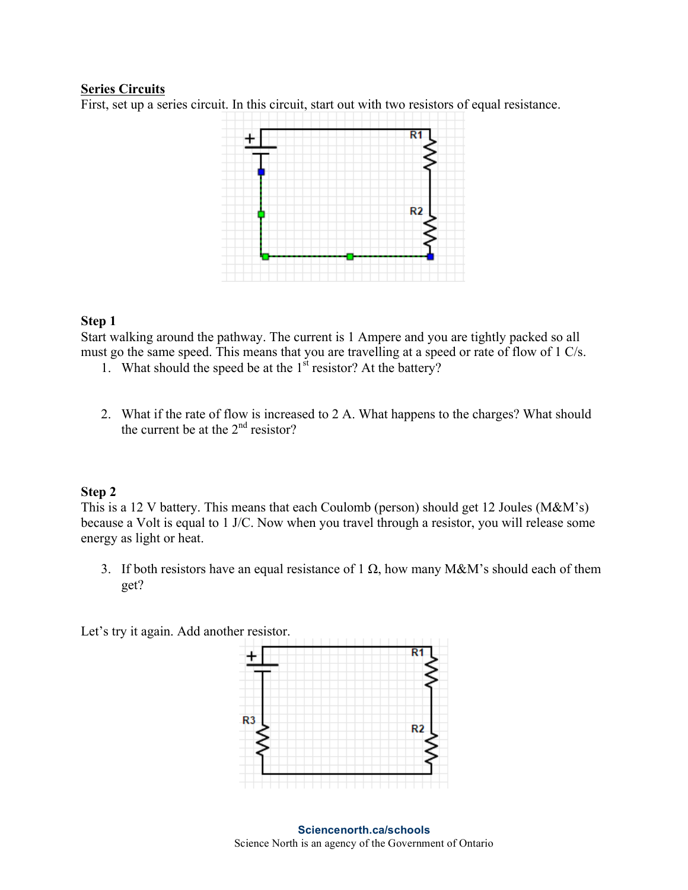#### **Series Circuits**

First, set up a series circuit. In this circuit, start out with two resistors of equal resistance.



#### **Step 1**

Start walking around the pathway. The current is 1 Ampere and you are tightly packed so all must go the same speed. This means that you are travelling at a speed or rate of flow of 1 C/s.

- 1. What should the speed be at the 1<sup>st</sup> resistor? At the battery?
- 2. What if the rate of flow is increased to 2 A. What happens to the charges? What should the current be at the  $2<sup>nd</sup>$  resistor?

#### **Step 2**

This is a 12 V battery. This means that each Coulomb (person) should get 12 Joules (M&M's) because a Volt is equal to 1 J/C. Now when you travel through a resistor, you will release some energy as light or heat.

3. If both resistors have an equal resistance of 1  $\Omega$ , how many M&M's should each of them get?

Let's try it again. Add another resistor.

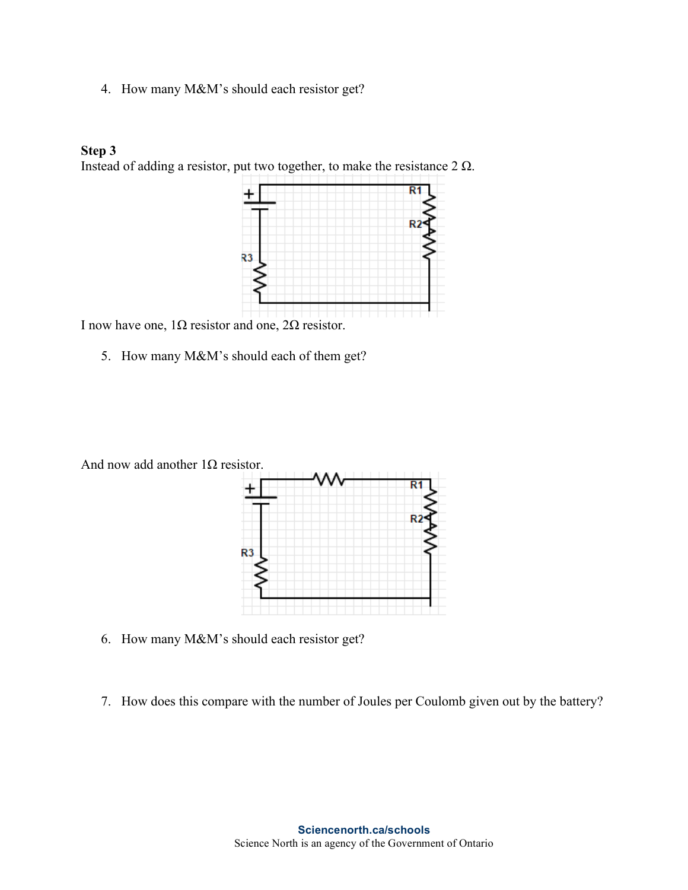4. How many M&M's should each resistor get?

#### **Step 3**

Instead of adding a resistor, put two together, to make the resistance  $2 \Omega$ .



I now have one,  $1Ω$  resistor and one,  $2Ω$  resistor.

5. How many M&M's should each of them get?



- 6. How many M&M's should each resistor get?
- 7. How does this compare with the number of Joules per Coulomb given out by the battery?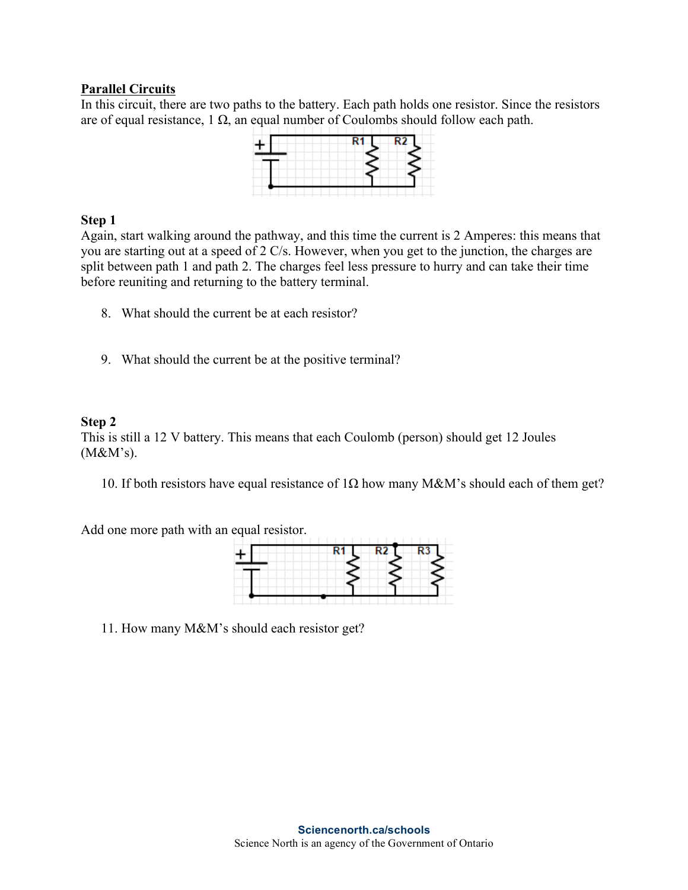#### **Parallel Circuits**

In this circuit, there are two paths to the battery. Each path holds one resistor. Since the resistors are of equal resistance, 1  $\Omega$ , an equal number of Coulombs should follow each path.

#### **Step 1**

Again, start walking around the pathway, and this time the current is 2 Amperes: this means that you are starting out at a speed of 2 C/s. However, when you get to the junction, the charges are split between path 1 and path 2. The charges feel less pressure to hurry and can take their time before reuniting and returning to the battery terminal.

- 8. What should the current be at each resistor?
- 9. What should the current be at the positive terminal?

#### **Step 2**

This is still a 12 V battery. This means that each Coulomb (person) should get 12 Joules (M&M's).

10. If both resistors have equal resistance of 1Ω how many M&M's should each of them get?

Add one more path with an equal resistor.

11. How many M&M's should each resistor get?